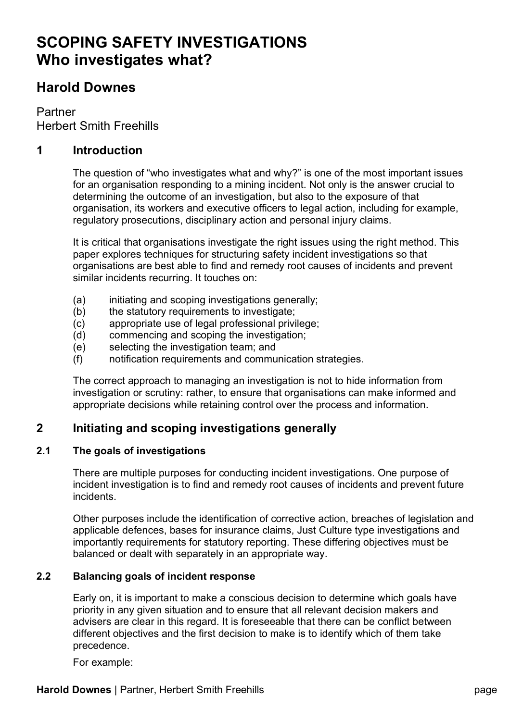# **SCOPING SAFETY INVESTIGATIONS Who investigates what?**

# **Harold Downes**

Partner Herbert Smith Freehills

## **1 Introduction**

The question of "who investigates what and why?" is one of the most important issues for an organisation responding to a mining incident. Not only is the answer crucial to determining the outcome of an investigation, but also to the exposure of that organisation, its workers and executive officers to legal action, including for example, regulatory prosecutions, disciplinary action and personal injury claims.

It is critical that organisations investigate the right issues using the right method. This paper explores techniques for structuring safety incident investigations so that organisations are best able to find and remedy root causes of incidents and prevent similar incidents recurring. It touches on:

- (a) initiating and scoping investigations generally:
- (b) the statutory requirements to investigate;
- (c) appropriate use of legal professional privilege;
- (d) commencing and scoping the investigation;
- (e) selecting the investigation team; and
- (f) notification requirements and communication strategies.

The correct approach to managing an investigation is not to hide information from investigation or scrutiny: rather, to ensure that organisations can make informed and appropriate decisions while retaining control over the process and information.

# **2 Initiating and scoping investigations generally**

## **2.1 The goals of investigations**

There are multiple purposes for conducting incident investigations. One purpose of incident investigation is to find and remedy root causes of incidents and prevent future incidents.

Other purposes include the identification of corrective action, breaches of legislation and applicable defences, bases for insurance claims, Just Culture type investigations and importantly requirements for statutory reporting. These differing objectives must be balanced or dealt with separately in an appropriate way.

## **2.2 Balancing goals of incident response**

Early on, it is important to make a conscious decision to determine which goals have priority in any given situation and to ensure that all relevant decision makers and advisers are clear in this regard. It is foreseeable that there can be conflict between different objectives and the first decision to make is to identify which of them take precedence.

For example: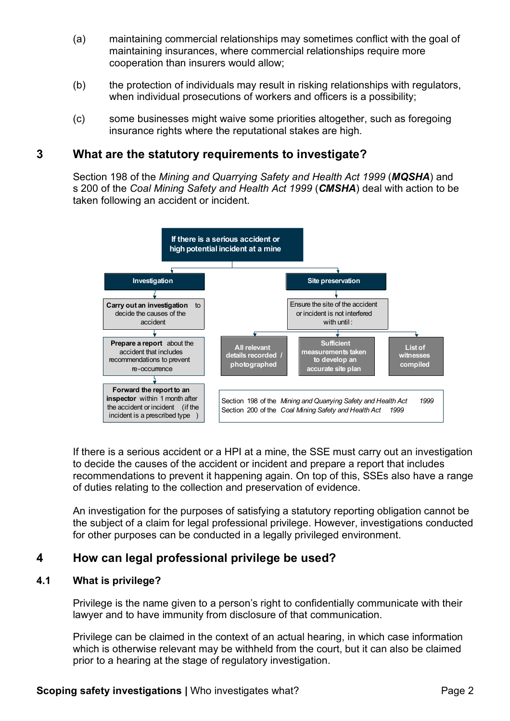- (a) maintaining commercial relationships may sometimes conflict with the goal of maintaining insurances, where commercial relationships require more cooperation than insurers would allow;
- (b) the protection of individuals may result in risking relationships with regulators, when individual prosecutions of workers and officers is a possibility;
- (c) some businesses might waive some priorities altogether, such as foregoing insurance rights where the reputational stakes are high.

## **3 What are the statutory requirements to investigate?**

Section 198 of the *Mining and Quarrying Safety and Health Act 1999* (*MQSHA*) and s 200 of the *Coal Mining Safety and Health Act 1999* (*CMSHA*) deal with action to be taken following an accident or incident.



If there is a serious accident or a HPI at a mine, the SSE must carry out an investigation to decide the causes of the accident or incident and prepare a report that includes recommendations to prevent it happening again. On top of this, SSEs also have a range of duties relating to the collection and preservation of evidence.

An investigation for the purposes of satisfying a statutory reporting obligation cannot be the subject of a claim for legal professional privilege. However, investigations conducted for other purposes can be conducted in a legally privileged environment.

# **4 How can legal professional privilege be used?**

## **4.1 What is privilege?**

Privilege is the name given to a person's right to confidentially communicate with their lawyer and to have immunity from disclosure of that communication.

Privilege can be claimed in the context of an actual hearing, in which case information which is otherwise relevant may be withheld from the court, but it can also be claimed prior to a hearing at the stage of regulatory investigation.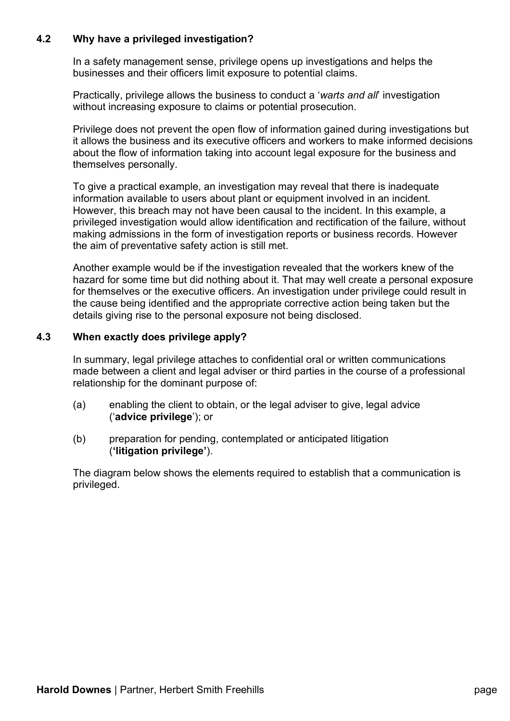## **4.2 Why have a privileged investigation?**

In a safety management sense, privilege opens up investigations and helps the businesses and their officers limit exposure to potential claims.

Practically, privilege allows the business to conduct a '*warts and all*' investigation without increasing exposure to claims or potential prosecution.

Privilege does not prevent the open flow of information gained during investigations but it allows the business and its executive officers and workers to make informed decisions about the flow of information taking into account legal exposure for the business and themselves personally.

To give a practical example, an investigation may reveal that there is inadequate information available to users about plant or equipment involved in an incident. However, this breach may not have been causal to the incident. In this example, a privileged investigation would allow identification and rectification of the failure, without making admissions in the form of investigation reports or business records. However the aim of preventative safety action is still met.

Another example would be if the investigation revealed that the workers knew of the hazard for some time but did nothing about it. That may well create a personal exposure for themselves or the executive officers. An investigation under privilege could result in the cause being identified and the appropriate corrective action being taken but the details giving rise to the personal exposure not being disclosed.

#### **4.3 When exactly does privilege apply?**

In summary, legal privilege attaches to confidential oral or written communications made between a client and legal adviser or third parties in the course of a professional relationship for the dominant purpose of:

- (a) enabling the client to obtain, or the legal adviser to give, legal advice ('**advice privilege**'); or
- (b) preparation for pending, contemplated or anticipated litigation (**'litigation privilege'**).

The diagram below shows the elements required to establish that a communication is privileged.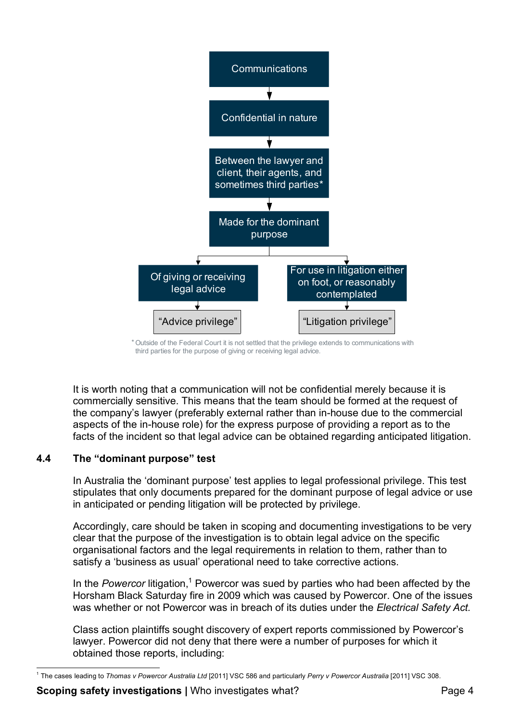

<sup>\*</sup> Outside of the Federal Court it is not settled that the privilege extends to communications with third parties for the purpose of giving or receiving legal advice.

It is worth noting that a communication will not be confidential merely because it is commercially sensitive. This means that the team should be formed at the request of the company's lawyer (preferably external rather than in-house due to the commercial aspects of the in-house role) for the express purpose of providing a report as to the facts of the incident so that legal advice can be obtained regarding anticipated litigation.

## **4.4 The "dominant purpose" test**

In Australia the 'dominant purpose' test applies to legal professional privilege. This test stipulates that only documents prepared for the dominant purpose of legal advice or use in anticipated or pending litigation will be protected by privilege.

Accordingly, care should be taken in scoping and documenting investigations to be very clear that the purpose of the investigation is to obtain legal advice on the specific organisational factors and the legal requirements in relation to them, rather than to satisfy a 'business as usual' operational need to take corrective actions.

In the Powercor litigation,<sup>1</sup> Powercor was sued by parties who had been affected by the Horsham Black Saturday fire in 2009 which was caused by Powercor. One of the issues was whether or not Powercor was in breach of its duties under the *Electrical Safety Act.*

Class action plaintiffs sought discovery of expert reports commissioned by Powercor's lawyer. Powercor did not deny that there were a number of purposes for which it obtained those reports, including:

 <sup>1</sup> The cases leading to *Thomas v Powercor Australia Ltd* [2011] VSC 586 and particularly *Perry v Powercor Australia* [2011] VSC 308.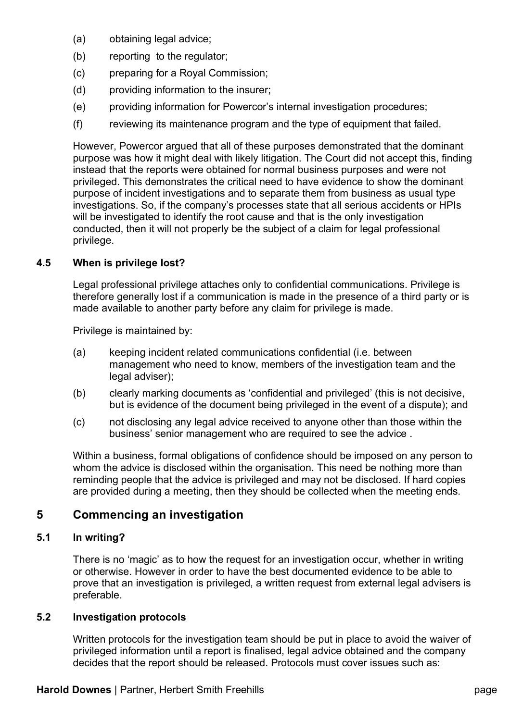- (a) obtaining legal advice;
- (b) reporting to the regulator;
- (c) preparing for a Royal Commission;
- (d) providing information to the insurer;
- (e) providing information for Powercor's internal investigation procedures;
- (f) reviewing its maintenance program and the type of equipment that failed.

However, Powercor argued that all of these purposes demonstrated that the dominant purpose was how it might deal with likely litigation. The Court did not accept this, finding instead that the reports were obtained for normal business purposes and were not privileged. This demonstrates the critical need to have evidence to show the dominant purpose of incident investigations and to separate them from business as usual type investigations. So, if the company's processes state that all serious accidents or HPIs will be investigated to identify the root cause and that is the only investigation conducted, then it will not properly be the subject of a claim for legal professional privilege.

## **4.5 When is privilege lost?**

Legal professional privilege attaches only to confidential communications. Privilege is therefore generally lost if a communication is made in the presence of a third party or is made available to another party before any claim for privilege is made.

Privilege is maintained by:

- (a) keeping incident related communications confidential (i.e. between management who need to know, members of the investigation team and the legal adviser);
- (b) clearly marking documents as 'confidential and privileged' (this is not decisive, but is evidence of the document being privileged in the event of a dispute); and
- (c) not disclosing any legal advice received to anyone other than those within the business' senior management who are required to see the advice .

Within a business, formal obligations of confidence should be imposed on any person to whom the advice is disclosed within the organisation. This need be nothing more than reminding people that the advice is privileged and may not be disclosed. If hard copies are provided during a meeting, then they should be collected when the meeting ends.

# **5 Commencing an investigation**

## **5.1 In writing?**

There is no 'magic' as to how the request for an investigation occur, whether in writing or otherwise. However in order to have the best documented evidence to be able to prove that an investigation is privileged, a written request from external legal advisers is preferable.

## **5.2 Investigation protocols**

Written protocols for the investigation team should be put in place to avoid the waiver of privileged information until a report is finalised, legal advice obtained and the company decides that the report should be released. Protocols must cover issues such as: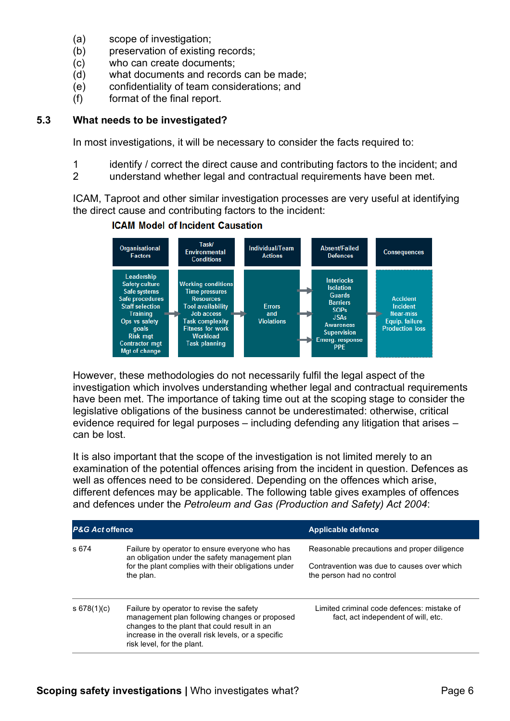- (a) scope of investigation;
- (b) preservation of existing records;
- (c) who can create documents;
- (d) what documents and records can be made;
- (e) confidentiality of team considerations; and
- (f) format of the final report.

#### **5.3 What needs to be investigated?**

In most investigations, it will be necessary to consider the facts required to:

- 1 identify / correct the direct cause and contributing factors to the incident; and
- 2 understand whether legal and contractual requirements have been met.

ICAM, Taproot and other similar investigation processes are very useful at identifying the direct cause and contributing factors to the incident:

#### **ICAM Model of Incident Causation**



However, these methodologies do not necessarily fulfil the legal aspect of the investigation which involves understanding whether legal and contractual requirements have been met. The importance of taking time out at the scoping stage to consider the legislative obligations of the business cannot be underestimated: otherwise, critical evidence required for legal purposes – including defending any litigation that arises – can be lost.

It is also important that the scope of the investigation is not limited merely to an examination of the potential offences arising from the incident in question. Defences as well as offences need to be considered. Depending on the offences which arise, different defences may be applicable. The following table gives examples of offences and defences under the *Petroleum and Gas (Production and Safety) Act 2004*:

| <b>P&amp;G Act offence</b> |                                                                                                                                                                                                                               | <b>Applicable defence</b>                                                         |
|----------------------------|-------------------------------------------------------------------------------------------------------------------------------------------------------------------------------------------------------------------------------|-----------------------------------------------------------------------------------|
| s 674                      | Failure by operator to ensure everyone who has<br>an obligation under the safety management plan                                                                                                                              | Reasonable precautions and proper diligence                                       |
|                            | for the plant complies with their obligations under<br>the plan.                                                                                                                                                              | Contravention was due to causes over which<br>the person had no control           |
| \$678(1)(c)                | Failure by operator to revise the safety<br>management plan following changes or proposed<br>changes to the plant that could result in an<br>increase in the overall risk levels, or a specific<br>risk level, for the plant. | Limited criminal code defences: mistake of<br>fact, act independent of will, etc. |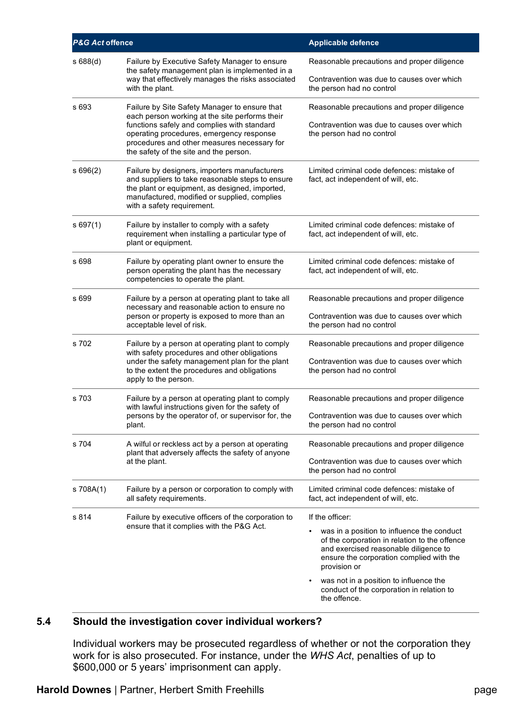| P&G Act offence |                                                                                                                                                                                                                                                                                     | <b>Applicable defence</b>                                                                                                                                                                        |
|-----------------|-------------------------------------------------------------------------------------------------------------------------------------------------------------------------------------------------------------------------------------------------------------------------------------|--------------------------------------------------------------------------------------------------------------------------------------------------------------------------------------------------|
| s688(d)         | Failure by Executive Safety Manager to ensure<br>the safety management plan is implemented in a<br>way that effectively manages the risks associated                                                                                                                                | Reasonable precautions and proper diligence<br>Contravention was due to causes over which                                                                                                        |
|                 | with the plant.                                                                                                                                                                                                                                                                     | the person had no control                                                                                                                                                                        |
| s 693           | Failure by Site Safety Manager to ensure that<br>each person working at the site performs their<br>functions safely and complies with standard<br>operating procedures, emergency response<br>procedures and other measures necessary for<br>the safety of the site and the person. | Reasonable precautions and proper diligence                                                                                                                                                      |
|                 |                                                                                                                                                                                                                                                                                     | Contravention was due to causes over which<br>the person had no control                                                                                                                          |
| s696(2)         | Failure by designers, importers manufacturers<br>and suppliers to take reasonable steps to ensure<br>the plant or equipment, as designed, imported,<br>manufactured, modified or supplied, complies<br>with a safety requirement.                                                   | Limited criminal code defences: mistake of<br>fact, act independent of will, etc.                                                                                                                |
| s697(1)         | Failure by installer to comply with a safety<br>requirement when installing a particular type of<br>plant or equipment.                                                                                                                                                             | Limited criminal code defences: mistake of<br>fact, act independent of will, etc.                                                                                                                |
| s 698           | Failure by operating plant owner to ensure the<br>person operating the plant has the necessary<br>competencies to operate the plant.                                                                                                                                                | Limited criminal code defences: mistake of<br>fact, act independent of will, etc.                                                                                                                |
| s 699           | Failure by a person at operating plant to take all<br>necessary and reasonable action to ensure no<br>person or property is exposed to more than an<br>acceptable level of risk.                                                                                                    | Reasonable precautions and proper diligence                                                                                                                                                      |
|                 |                                                                                                                                                                                                                                                                                     | Contravention was due to causes over which<br>the person had no control                                                                                                                          |
| s 702           | Failure by a person at operating plant to comply<br>with safety procedures and other obligations<br>under the safety management plan for the plant<br>to the extent the procedures and obligations<br>apply to the person.                                                          | Reasonable precautions and proper diligence                                                                                                                                                      |
|                 |                                                                                                                                                                                                                                                                                     | Contravention was due to causes over which<br>the person had no control                                                                                                                          |
| s 703           | Failure by a person at operating plant to comply<br>with lawful instructions given for the safety of<br>persons by the operator of, or supervisor for, the<br>plant.                                                                                                                | Reasonable precautions and proper diligence                                                                                                                                                      |
|                 |                                                                                                                                                                                                                                                                                     | Contravention was due to causes over which<br>the person had no control                                                                                                                          |
| s 704           | A wilful or reckless act by a person at operating<br>plant that adversely affects the safety of anyone<br>at the plant.                                                                                                                                                             | Reasonable precautions and proper diligence                                                                                                                                                      |
|                 |                                                                                                                                                                                                                                                                                     | Contravention was due to causes over which<br>the person had no control                                                                                                                          |
| s 708A(1)       | Failure by a person or corporation to comply with<br>all safety requirements.                                                                                                                                                                                                       | Limited criminal code defences: mistake of<br>fact, act independent of will, etc.                                                                                                                |
| s 814           | Failure by executive officers of the corporation to<br>ensure that it complies with the P&G Act.                                                                                                                                                                                    | If the officer:                                                                                                                                                                                  |
|                 |                                                                                                                                                                                                                                                                                     | was in a position to influence the conduct<br>of the corporation in relation to the offence<br>and exercised reasonable diligence to<br>ensure the corporation complied with the<br>provision or |
|                 |                                                                                                                                                                                                                                                                                     | was not in a position to influence the<br>conduct of the corporation in relation to<br>the offence.                                                                                              |

# **5.4 Should the investigation cover individual workers?**

Individual workers may be prosecuted regardless of whether or not the corporation they work for is also prosecuted. For instance, under the *WHS Act*, penalties of up to \$600,000 or 5 years' imprisonment can apply.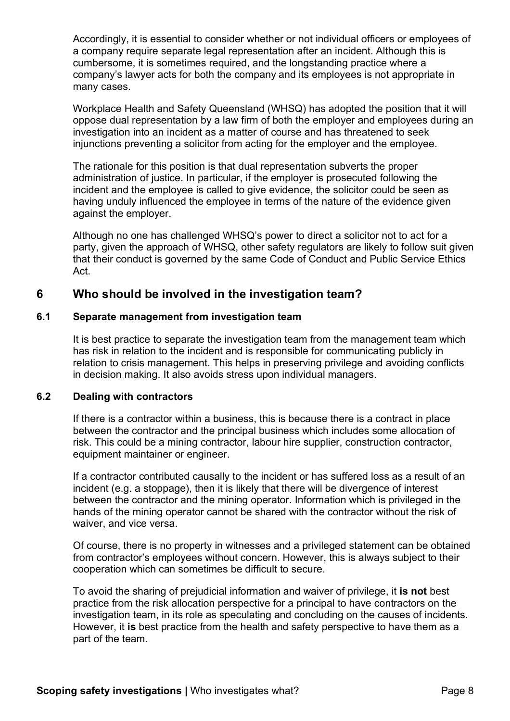Accordingly, it is essential to consider whether or not individual officers or employees of a company require separate legal representation after an incident. Although this is cumbersome, it is sometimes required, and the longstanding practice where a company's lawyer acts for both the company and its employees is not appropriate in many cases.

Workplace Health and Safety Queensland (WHSQ) has adopted the position that it will oppose dual representation by a law firm of both the employer and employees during an investigation into an incident as a matter of course and has threatened to seek injunctions preventing a solicitor from acting for the employer and the employee.

The rationale for this position is that dual representation subverts the proper administration of justice. In particular, if the employer is prosecuted following the incident and the employee is called to give evidence, the solicitor could be seen as having unduly influenced the employee in terms of the nature of the evidence given against the employer.

Although no one has challenged WHSQ's power to direct a solicitor not to act for a party, given the approach of WHSQ, other safety regulators are likely to follow suit given that their conduct is governed by the same Code of Conduct and Public Service Ethics Act.

## **6 Who should be involved in the investigation team?**

#### **6.1 Separate management from investigation team**

It is best practice to separate the investigation team from the management team which has risk in relation to the incident and is responsible for communicating publicly in relation to crisis management. This helps in preserving privilege and avoiding conflicts in decision making. It also avoids stress upon individual managers.

#### **6.2 Dealing with contractors**

If there is a contractor within a business, this is because there is a contract in place between the contractor and the principal business which includes some allocation of risk. This could be a mining contractor, labour hire supplier, construction contractor, equipment maintainer or engineer.

If a contractor contributed causally to the incident or has suffered loss as a result of an incident (e.g. a stoppage), then it is likely that there will be divergence of interest between the contractor and the mining operator. Information which is privileged in the hands of the mining operator cannot be shared with the contractor without the risk of waiver, and vice versa.

Of course, there is no property in witnesses and a privileged statement can be obtained from contractor's employees without concern. However, this is always subject to their cooperation which can sometimes be difficult to secure.

To avoid the sharing of prejudicial information and waiver of privilege, it **is not** best practice from the risk allocation perspective for a principal to have contractors on the investigation team, in its role as speculating and concluding on the causes of incidents. However, it **is** best practice from the health and safety perspective to have them as a part of the team.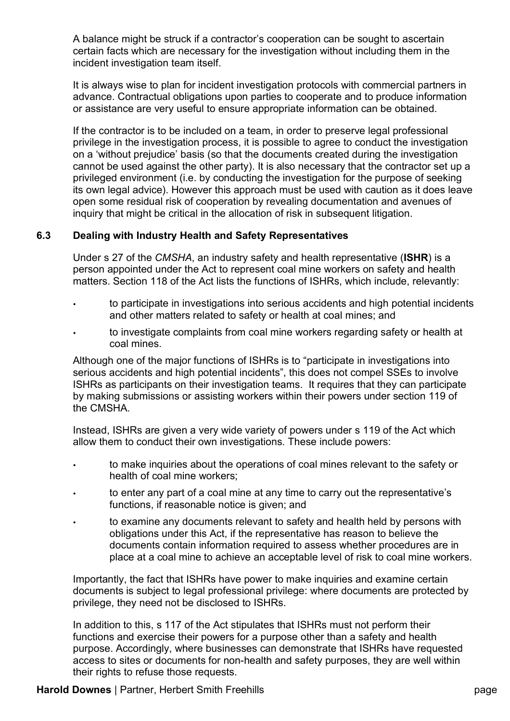A balance might be struck if a contractor's cooperation can be sought to ascertain certain facts which are necessary for the investigation without including them in the incident investigation team itself.

It is always wise to plan for incident investigation protocols with commercial partners in advance. Contractual obligations upon parties to cooperate and to produce information or assistance are very useful to ensure appropriate information can be obtained.

If the contractor is to be included on a team, in order to preserve legal professional privilege in the investigation process, it is possible to agree to conduct the investigation on a 'without prejudice' basis (so that the documents created during the investigation cannot be used against the other party). It is also necessary that the contractor set up a privileged environment (i.e. by conducting the investigation for the purpose of seeking its own legal advice). However this approach must be used with caution as it does leave open some residual risk of cooperation by revealing documentation and avenues of inquiry that might be critical in the allocation of risk in subsequent litigation.

#### **6.3 Dealing with Industry Health and Safety Representatives**

Under s 27 of the *CMSHA*, an industry safety and health representative (**ISHR**) is a person appointed under the Act to represent coal mine workers on safety and health matters. Section 118 of the Act lists the functions of ISHRs, which include, relevantly:

- to participate in investigations into serious accidents and high potential incidents and other matters related to safety or health at coal mines; and
- to investigate complaints from coal mine workers regarding safety or health at coal mines.

Although one of the major functions of ISHRs is to "participate in investigations into serious accidents and high potential incidents", this does not compel SSEs to involve ISHRs as participants on their investigation teams. It requires that they can participate by making submissions or assisting workers within their powers under section 119 of the CMSHA.

Instead, ISHRs are given a very wide variety of powers under s 119 of the Act which allow them to conduct their own investigations. These include powers:

- to make inquiries about the operations of coal mines relevant to the safety or health of coal mine workers;
- to enter any part of a coal mine at any time to carry out the representative's functions, if reasonable notice is given; and
- to examine any documents relevant to safety and health held by persons with obligations under this Act, if the representative has reason to believe the documents contain information required to assess whether procedures are in place at a coal mine to achieve an acceptable level of risk to coal mine workers.

Importantly, the fact that ISHRs have power to make inquiries and examine certain documents is subject to legal professional privilege: where documents are protected by privilege, they need not be disclosed to ISHRs.

In addition to this, s 117 of the Act stipulates that ISHRs must not perform their functions and exercise their powers for a purpose other than a safety and health purpose. Accordingly, where businesses can demonstrate that ISHRs have requested access to sites or documents for non-health and safety purposes, they are well within their rights to refuse those requests.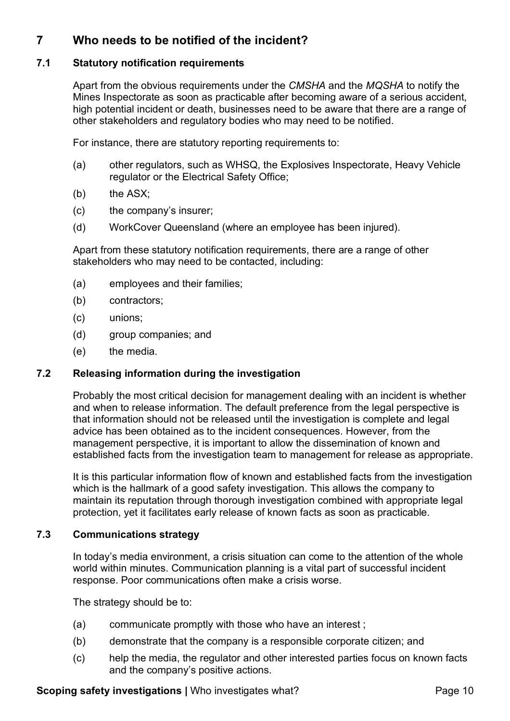# **7 Who needs to be notified of the incident?**

#### **7.1 Statutory notification requirements**

Apart from the obvious requirements under the *CMSHA* and the *MQSHA* to notify the Mines Inspectorate as soon as practicable after becoming aware of a serious accident, high potential incident or death, businesses need to be aware that there are a range of other stakeholders and regulatory bodies who may need to be notified.

For instance, there are statutory reporting requirements to:

- (a) other regulators, such as WHSQ, the Explosives Inspectorate, Heavy Vehicle regulator or the Electrical Safety Office;
- (b) the ASX:
- (c) the company's insurer;
- (d) WorkCover Queensland (where an employee has been injured).

Apart from these statutory notification requirements, there are a range of other stakeholders who may need to be contacted, including:

- (a) employees and their families;
- (b) contractors;
- (c) unions;
- (d) group companies; and
- (e) the media.

#### **7.2 Releasing information during the investigation**

Probably the most critical decision for management dealing with an incident is whether and when to release information. The default preference from the legal perspective is that information should not be released until the investigation is complete and legal advice has been obtained as to the incident consequences. However, from the management perspective, it is important to allow the dissemination of known and established facts from the investigation team to management for release as appropriate.

It is this particular information flow of known and established facts from the investigation which is the hallmark of a good safety investigation. This allows the company to maintain its reputation through thorough investigation combined with appropriate legal protection, yet it facilitates early release of known facts as soon as practicable.

## **7.3 Communications strategy**

In today's media environment, a crisis situation can come to the attention of the whole world within minutes. Communication planning is a vital part of successful incident response. Poor communications often make a crisis worse.

The strategy should be to:

- (a) communicate promptly with those who have an interest ;
- (b) demonstrate that the company is a responsible corporate citizen; and
- (c) help the media, the regulator and other interested parties focus on known facts and the company's positive actions.

#### **Scoping safety investigations | Who investigates what? Page 10**